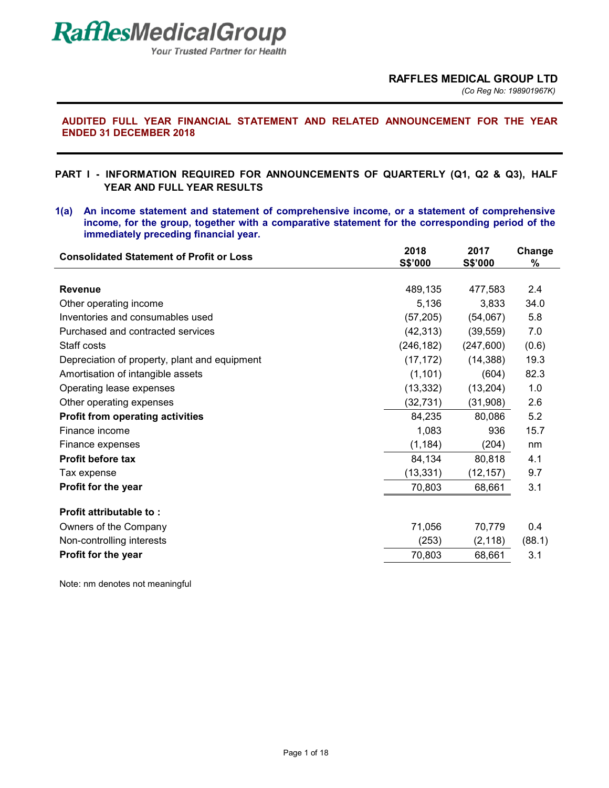**Your Trusted Partner for Health** 

*(Co Reg No: 198901967K)*

## **AUDITED FULL YEAR FINANCIAL STATEMENT AND RELATED ANNOUNCEMENT FOR THE YEAR ENDED 31 DECEMBER 2018**

# **PART I - INFORMATION REQUIRED FOR ANNOUNCEMENTS OF QUARTERLY (Q1, Q2 & Q3), HALF YEAR AND FULL YEAR RESULTS**

**1(a) An income statement and statement of comprehensive income, or a statement of comprehensive income, for the group, together with a comparative statement for the corresponding period of the immediately preceding financial year.** 

| <b>Consolidated Statement of Profit or Loss</b> | 2018<br>S\$'000 | 2017<br>S\$'000 | Change<br>$\%$ |
|-------------------------------------------------|-----------------|-----------------|----------------|
|                                                 |                 |                 |                |
| <b>Revenue</b>                                  | 489,135         | 477,583         | 2.4            |
| Other operating income                          | 5,136           | 3,833           | 34.0           |
| Inventories and consumables used                | (57, 205)       | (54,067)        | 5.8            |
| Purchased and contracted services               | (42, 313)       | (39, 559)       | 7.0            |
| Staff costs                                     | (246, 182)      | (247,600)       | (0.6)          |
| Depreciation of property, plant and equipment   | (17, 172)       | (14, 388)       | 19.3           |
| Amortisation of intangible assets               | (1, 101)        | (604)           | 82.3           |
| Operating lease expenses                        | (13, 332)       | (13,204)        | 1.0            |
| Other operating expenses                        | (32, 731)       | (31,908)        | 2.6            |
| <b>Profit from operating activities</b>         | 84,235          | 80,086          | 5.2            |
| Finance income                                  | 1,083           | 936             | 15.7           |
| Finance expenses                                | (1, 184)        | (204)           | nm             |
| <b>Profit before tax</b>                        | 84,134          | 80,818          | 4.1            |
| Tax expense                                     | (13, 331)       | (12, 157)       | 9.7            |
| Profit for the year                             | 70,803          | 68,661          | 3.1            |
| <b>Profit attributable to:</b>                  |                 |                 |                |
| Owners of the Company                           | 71,056          | 70,779          | 0.4            |
| Non-controlling interests                       | (253)           | (2, 118)        | (88.1)         |
| Profit for the year                             | 70,803          | 68,661          | 3.1            |
|                                                 |                 |                 |                |

Note: nm denotes not meaningful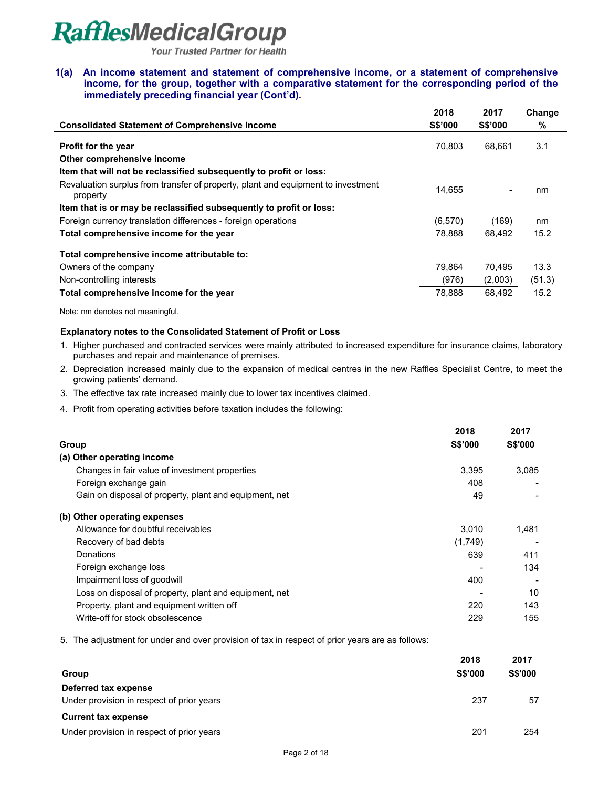**Your Trusted Partner for Health** 

**1(a) An income statement and statement of comprehensive income, or a statement of comprehensive income, for the group, together with a comparative statement for the corresponding period of the immediately preceding financial year (Cont'd).** 

|                                                                                              | 2018           | 2017           | Change |
|----------------------------------------------------------------------------------------------|----------------|----------------|--------|
| <b>Consolidated Statement of Comprehensive Income</b>                                        | <b>S\$'000</b> | <b>S\$'000</b> | %      |
| <b>Profit for the year</b>                                                                   | 70.803         | 68.661         | 3.1    |
| Other comprehensive income                                                                   |                |                |        |
| Item that will not be reclassified subsequently to profit or loss:                           |                |                |        |
| Revaluation surplus from transfer of property, plant and equipment to investment<br>property | 14.655         |                | nm     |
| Item that is or may be reclassified subsequently to profit or loss:                          |                |                |        |
| Foreign currency translation differences - foreign operations                                | (6,570)        | (169)          | nm     |
| Total comprehensive income for the year                                                      | 78,888         | 68,492         | 15.2   |
| Total comprehensive income attributable to:                                                  |                |                |        |
| Owners of the company                                                                        | 79.864         | 70.495         | 13.3   |
| Non-controlling interests                                                                    | (976)          | (2,003)        | (51.3) |
| Total comprehensive income for the year                                                      | 78.888         | 68.492         | 15.2   |

Note: nm denotes not meaningful.

#### **Explanatory notes to the Consolidated Statement of Profit or Loss**

- 1. Higher purchased and contracted services were mainly attributed to increased expenditure for insurance claims, laboratory purchases and repair and maintenance of premises.
- 2. Depreciation increased mainly due to the expansion of medical centres in the new Raffles Specialist Centre, to meet the growing patients' demand.
- 3. The effective tax rate increased mainly due to lower tax incentives claimed.
- 4. Profit from operating activities before taxation includes the following:

|                                                        | 2018           | 2017           |
|--------------------------------------------------------|----------------|----------------|
| Group                                                  | <b>S\$'000</b> | <b>S\$'000</b> |
| (a) Other operating income                             |                |                |
| Changes in fair value of investment properties         | 3,395          | 3,085          |
| Foreign exchange gain                                  | 408            |                |
| Gain on disposal of property, plant and equipment, net | 49             |                |
| (b) Other operating expenses                           |                |                |
| Allowance for doubtful receivables                     | 3,010          | 1,481          |
| Recovery of bad debts                                  | (1,749)        |                |
| Donations                                              | 639            | 411            |
| Foreign exchange loss                                  |                | 134            |
| Impairment loss of goodwill                            | 400            |                |
| Loss on disposal of property, plant and equipment, net |                | 10             |
| Property, plant and equipment written off              | 220            | 143            |
| Write-off for stock obsolescence                       | 229            | 155            |

5. The adjustment for under and over provision of tax in respect of prior years are as follows:

|                                           | 2018           | 2017           |  |
|-------------------------------------------|----------------|----------------|--|
| Group                                     | <b>S\$'000</b> | <b>S\$'000</b> |  |
| Deferred tax expense                      |                |                |  |
| Under provision in respect of prior years | 237            | 57             |  |
| <b>Current tax expense</b>                |                |                |  |
| Under provision in respect of prior years | 201            | 254            |  |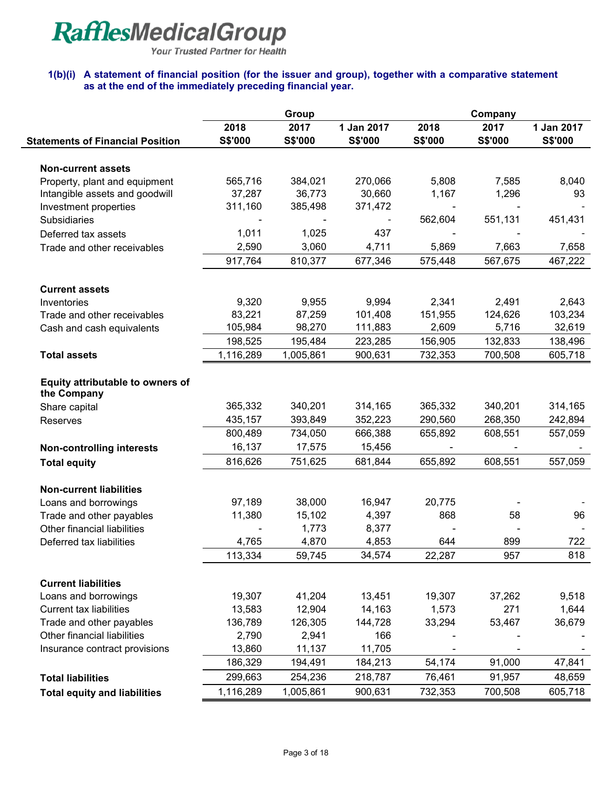Your Trusted Partner for Health

### **1(b)(i) A statement of financial position (for the issuer and group), together with a comparative statement as at the end of the immediately preceding financial year.**

|                                                        |                   | Group             |                   |         |                |            |  |
|--------------------------------------------------------|-------------------|-------------------|-------------------|---------|----------------|------------|--|
|                                                        | 2018              | 2017              | 1 Jan 2017        | 2018    | 2017           | 1 Jan 2017 |  |
| <b>Statements of Financial Position</b>                | S\$'000           | <b>S\$'000</b>    | S\$'000           | S\$'000 | <b>S\$'000</b> | S\$'000    |  |
|                                                        |                   |                   |                   |         |                |            |  |
| <b>Non-current assets</b>                              |                   |                   |                   |         |                |            |  |
| Property, plant and equipment                          | 565,716           | 384,021           | 270,066           | 5,808   | 7,585          | 8,040      |  |
| Intangible assets and goodwill                         | 37,287<br>311,160 | 36,773<br>385,498 | 30,660<br>371,472 | 1,167   | 1,296          | 93         |  |
| Investment properties<br><b>Subsidiaries</b>           |                   |                   |                   | 562,604 | 551,131        | 451,431    |  |
|                                                        | 1,011             | 1,025             | 437               |         |                |            |  |
| Deferred tax assets                                    | 2,590             | 3,060             | 4,711             | 5,869   | 7,663          | 7,658      |  |
| Trade and other receivables                            | 917,764           | 810,377           | 677,346           | 575,448 | 567,675        | 467,222    |  |
|                                                        |                   |                   |                   |         |                |            |  |
| <b>Current assets</b>                                  |                   |                   |                   |         |                |            |  |
| Inventories                                            | 9,320             | 9,955             | 9,994             | 2,341   | 2,491          | 2,643      |  |
| Trade and other receivables                            | 83,221            | 87,259            | 101,408           | 151,955 | 124,626        | 103,234    |  |
| Cash and cash equivalents                              | 105,984           | 98,270            | 111,883           | 2,609   | 5,716          | 32,619     |  |
|                                                        | 198,525           | 195,484           | 223,285           | 156,905 | 132,833        | 138,496    |  |
| <b>Total assets</b>                                    | 1,116,289         | 1,005,861         | 900,631           | 732,353 | 700,508        | 605,718    |  |
| Equity attributable to owners of<br>the Company        |                   |                   |                   |         |                |            |  |
| Share capital                                          | 365,332           | 340,201           | 314,165           | 365,332 | 340,201        | 314,165    |  |
| Reserves                                               | 435,157           | 393,849           | 352,223           | 290,560 | 268,350        | 242,894    |  |
|                                                        | 800,489           | 734,050           | 666,388           | 655,892 | 608,551        | 557,059    |  |
| <b>Non-controlling interests</b>                       | 16,137            | 17,575            | 15,456            |         |                |            |  |
| <b>Total equity</b>                                    | 816,626           | 751,625           | 681,844           | 655,892 | 608,551        | 557,059    |  |
|                                                        |                   |                   |                   |         |                |            |  |
| <b>Non-current liabilities</b><br>Loans and borrowings | 97,189            | 38,000            | 16,947            | 20,775  |                |            |  |
| Trade and other payables                               | 11,380            | 15,102            | 4,397             | 868     | 58             | 96         |  |
| Other financial liabilities                            |                   | 1,773             | 8,377             |         |                |            |  |
| Deferred tax liabilities                               | 4,765             | 4,870             | 4,853             | 644     | 899            | 722        |  |
|                                                        | 113,334           | 59,745            | 34,574            | 22,287  | 957            | 818        |  |
|                                                        |                   |                   |                   |         |                |            |  |
| <b>Current liabilities</b>                             |                   |                   |                   |         |                |            |  |
| Loans and borrowings                                   | 19,307            | 41,204            | 13,451            | 19,307  | 37,262         | 9,518      |  |
| <b>Current tax liabilities</b>                         | 13,583            | 12,904            | 14,163            | 1,573   | 271            | 1,644      |  |
| Trade and other payables                               | 136,789           | 126,305           | 144,728           | 33,294  | 53,467         | 36,679     |  |
| Other financial liabilities                            | 2,790             | 2,941             | 166               |         |                |            |  |
| Insurance contract provisions                          | 13,860            | 11,137            | 11,705            |         |                |            |  |
|                                                        | 186,329           | 194,491           | 184,213           | 54,174  | 91,000         | 47,841     |  |
| <b>Total liabilities</b>                               | 299,663           | 254,236           | 218,787           | 76,461  | 91,957         | 48,659     |  |
| <b>Total equity and liabilities</b>                    | 1,116,289         | 1,005,861         | 900,631           | 732,353 | 700,508        | 605,718    |  |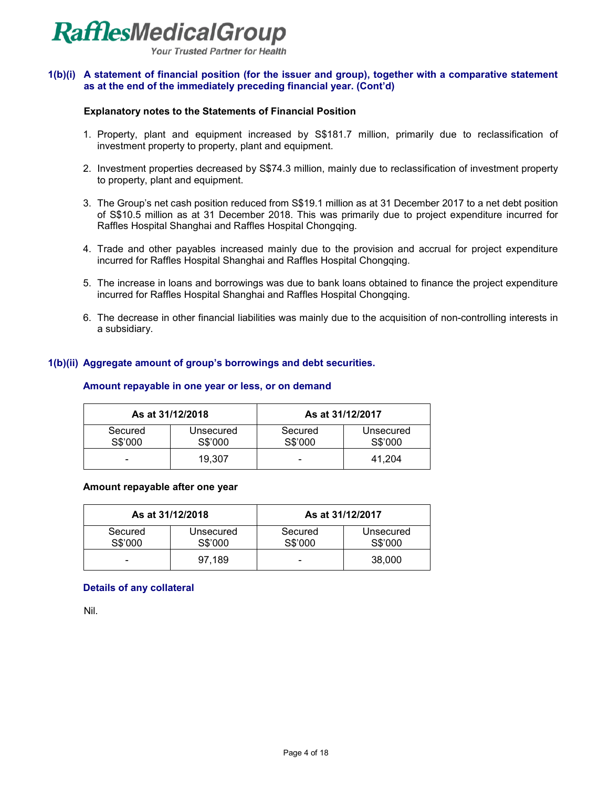

**Your Trusted Partner for Health** 

#### **1(b)(i) A statement of financial position (for the issuer and group), together with a comparative statement as at the end of the immediately preceding financial year. (Cont'd)**

#### **Explanatory notes to the Statements of Financial Position**

- 1. Property, plant and equipment increased by S\$181.7 million, primarily due to reclassification of investment property to property, plant and equipment.
- 2. Investment properties decreased by S\$74.3 million, mainly due to reclassification of investment property to property, plant and equipment.
- 3. The Group's net cash position reduced from S\$19.1 million as at 31 December 2017 to a net debt position of S\$10.5 million as at 31 December 2018. This was primarily due to project expenditure incurred for Raffles Hospital Shanghai and Raffles Hospital Chongqing.
- 4. Trade and other payables increased mainly due to the provision and accrual for project expenditure incurred for Raffles Hospital Shanghai and Raffles Hospital Chongqing.
- 5. The increase in loans and borrowings was due to bank loans obtained to finance the project expenditure incurred for Raffles Hospital Shanghai and Raffles Hospital Chongqing.
- 6. The decrease in other financial liabilities was mainly due to the acquisition of non-controlling interests in a subsidiary.

#### **1(b)(ii) Aggregate amount of group's borrowings and debt securities.**

#### **Amount repayable in one year or less, or on demand**

| As at 31/12/2018   |                      | As at 31/12/2017   |                      |  |  |
|--------------------|----------------------|--------------------|----------------------|--|--|
| Secured<br>S\$'000 | Unsecured<br>S\$'000 | Secured<br>S\$'000 | Unsecured<br>S\$'000 |  |  |
| -                  | 19.307               | -                  | 41.204               |  |  |

#### **Amount repayable after one year**

| As at 31/12/2018   |                      | As at 31/12/2017   |                      |  |  |
|--------------------|----------------------|--------------------|----------------------|--|--|
| Secured<br>S\$'000 | Unsecured<br>S\$'000 | Secured<br>S\$'000 | Unsecured<br>S\$'000 |  |  |
| -                  | 97.189               | -                  | 38,000               |  |  |

#### **Details of any collateral**

Nil.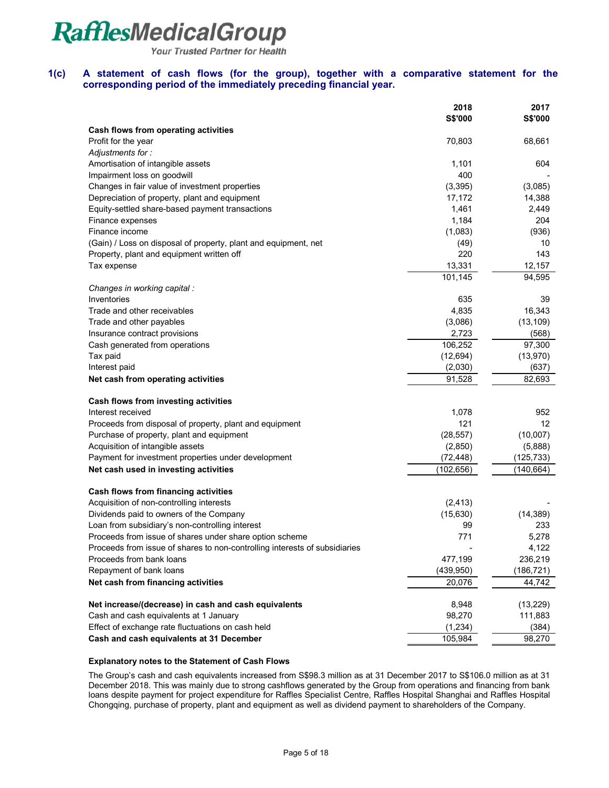Your Trusted Partner for Health

#### **1(c) A statement of cash flows (for the group), together with a comparative statement for the corresponding period of the immediately preceding financial year.**

|                                                                            | 2018           | 2017           |
|----------------------------------------------------------------------------|----------------|----------------|
|                                                                            | <b>S\$'000</b> | <b>S\$'000</b> |
| Cash flows from operating activities                                       |                |                |
| Profit for the year                                                        | 70,803         | 68,661         |
| Adjustments for:                                                           |                |                |
| Amortisation of intangible assets                                          | 1,101          | 604            |
| Impairment loss on goodwill                                                | 400            |                |
| Changes in fair value of investment properties                             | (3,395)        | (3,085)        |
| Depreciation of property, plant and equipment                              | 17,172         | 14,388         |
| Equity-settled share-based payment transactions                            | 1,461          | 2,449          |
| Finance expenses                                                           | 1,184          | 204            |
| Finance income                                                             | (1,083)        | (936)          |
| (Gain) / Loss on disposal of property, plant and equipment, net            | (49)           | 10             |
| Property, plant and equipment written off                                  | 220            | 143            |
| Tax expense                                                                | 13,331         | 12,157         |
|                                                                            | 101,145        | 94,595         |
| Changes in working capital :                                               |                |                |
| Inventories                                                                | 635            | 39             |
| Trade and other receivables                                                | 4,835          | 16,343         |
| Trade and other payables                                                   | (3,086)        | (13, 109)      |
| Insurance contract provisions                                              | 2,723          | (568)          |
| Cash generated from operations                                             | 106,252        | 97,300         |
| Tax paid                                                                   | (12, 694)      | (13,970)       |
| Interest paid                                                              | (2,030)        | (637)          |
| Net cash from operating activities                                         | 91,528         | 82,693         |
| Cash flows from investing activities                                       |                |                |
| Interest received                                                          | 1,078          | 952            |
| Proceeds from disposal of property, plant and equipment                    | 121            | 12             |
| Purchase of property, plant and equipment                                  | (28, 557)      | (10,007)       |
| Acquisition of intangible assets                                           | (2,850)        | (5,888)        |
| Payment for investment properties under development                        | (72, 448)      | (125,733)      |
| Net cash used in investing activities                                      | (102, 656)     | (140,664)      |
| Cash flows from financing activities                                       |                |                |
| Acquisition of non-controlling interests                                   | (2, 413)       |                |
| Dividends paid to owners of the Company                                    | (15, 630)      | (14, 389)      |
| Loan from subsidiary's non-controlling interest                            | 99             | 233            |
| Proceeds from issue of shares under share option scheme                    | 771            | 5,278          |
| Proceeds from issue of shares to non-controlling interests of subsidiaries |                | 4,122          |
| Proceeds from bank loans                                                   | 477,199        | 236,219        |
| Repayment of bank loans                                                    | (439, 950)     | (186,721)      |
| Net cash from financing activities                                         | 20,076         | 44,742         |
| Net increase/(decrease) in cash and cash equivalents                       | 8,948          | (13, 229)      |
| Cash and cash equivalents at 1 January                                     | 98,270         | 111,883        |
| Effect of exchange rate fluctuations on cash held                          | (1, 234)       | (384)          |
| Cash and cash equivalents at 31 December                                   | 105,984        | 98,270         |

#### **Explanatory notes to the Statement of Cash Flows**

The Group's cash and cash equivalents increased from S\$98.3 million as at 31 December 2017 to S\$106.0 million as at 31 December 2018. This was mainly due to strong cashflows generated by the Group from operations and financing from bank loans despite payment for project expenditure for Raffles Specialist Centre, Raffles Hospital Shanghai and Raffles Hospital Chongqing, purchase of property, plant and equipment as well as dividend payment to shareholders of the Company.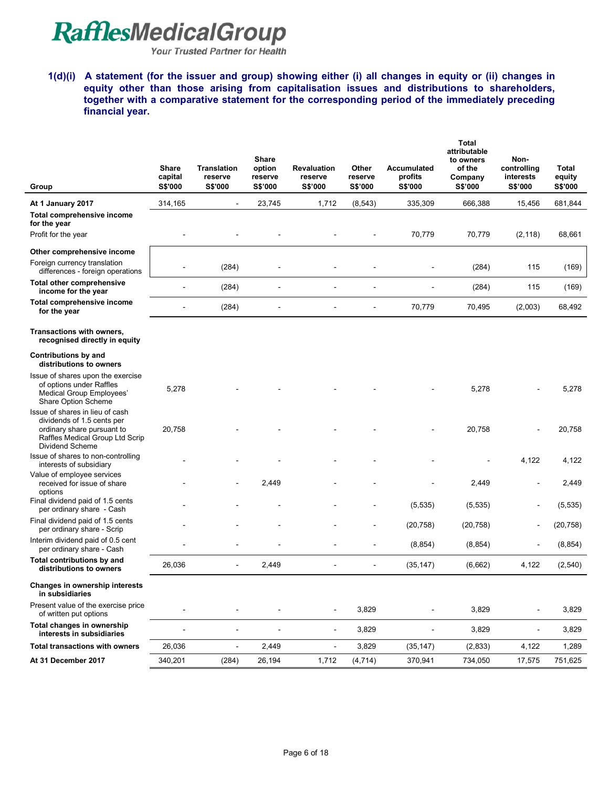Your Trusted Partner for Health

**1(d)(i) A statement (for the issuer and group) showing either (i) all changes in equity or (ii) changes in equity other than those arising from capitalisation issues and distributions to shareholders, together with a comparative statement for the corresponding period of the immediately preceding financial year.** 

| Group                                                                                                                                             | <b>Share</b><br>capital<br><b>S\$'000</b> | <b>Translation</b><br>reserve<br>S\$'000 | Share<br>option<br>reserve<br>S\$'000 | <b>Revaluation</b><br>reserve<br>S\$'000 | Other<br>reserve<br>S\$'000 | Accumulated<br>profits<br>S\$'000 | <b>Total</b><br>attributable<br>to owners<br>of the<br>Company<br>S\$'000 | Non-<br>controlling<br>interests<br>S\$'000 | Total<br>equity<br>S\$'000 |
|---------------------------------------------------------------------------------------------------------------------------------------------------|-------------------------------------------|------------------------------------------|---------------------------------------|------------------------------------------|-----------------------------|-----------------------------------|---------------------------------------------------------------------------|---------------------------------------------|----------------------------|
| At 1 January 2017                                                                                                                                 | 314,165                                   | $\blacksquare$                           | 23,745                                | 1,712                                    | (8, 543)                    | 335,309                           | 666,388                                                                   | 15,456                                      | 681,844                    |
| Total comprehensive income<br>for the year                                                                                                        |                                           |                                          |                                       |                                          |                             |                                   |                                                                           |                                             |                            |
| Profit for the year                                                                                                                               |                                           |                                          |                                       |                                          |                             | 70,779                            | 70,779                                                                    | (2, 118)                                    | 68,661                     |
| Other comprehensive income                                                                                                                        |                                           |                                          |                                       |                                          |                             |                                   |                                                                           |                                             |                            |
| Foreign currency translation<br>differences - foreign operations                                                                                  |                                           | (284)                                    |                                       |                                          |                             |                                   | (284)                                                                     | 115                                         | (169)                      |
| <b>Total other comprehensive</b><br>income for the year                                                                                           | $\blacksquare$                            | (284)                                    |                                       |                                          |                             |                                   | (284)                                                                     | 115                                         | (169)                      |
| Total comprehensive income<br>for the year                                                                                                        |                                           | (284)                                    |                                       |                                          |                             | 70,779                            | 70,495                                                                    | (2,003)                                     | 68,492                     |
| Transactions with owners,<br>recognised directly in equity                                                                                        |                                           |                                          |                                       |                                          |                             |                                   |                                                                           |                                             |                            |
| <b>Contributions by and</b><br>distributions to owners                                                                                            |                                           |                                          |                                       |                                          |                             |                                   |                                                                           |                                             |                            |
| Issue of shares upon the exercise<br>of options under Raffles<br>Medical Group Employees'<br>Share Option Scheme                                  | 5,278                                     |                                          |                                       |                                          |                             |                                   | 5,278                                                                     |                                             | 5,278                      |
| Issue of shares in lieu of cash<br>dividends of 1.5 cents per<br>ordinary share pursuant to<br>Raffles Medical Group Ltd Scrip<br>Dividend Scheme | 20,758                                    |                                          |                                       |                                          |                             |                                   | 20,758                                                                    |                                             | 20,758                     |
| Issue of shares to non-controlling<br>interests of subsidiary                                                                                     |                                           |                                          |                                       |                                          |                             |                                   |                                                                           | 4,122                                       | 4,122                      |
| Value of employee services<br>received for issue of share                                                                                         |                                           |                                          | 2,449                                 |                                          |                             |                                   | 2,449                                                                     | ÷,                                          | 2,449                      |
| options<br>Final dividend paid of 1.5 cents<br>per ordinary share - Cash                                                                          |                                           |                                          |                                       |                                          |                             | (5,535)                           | (5, 535)                                                                  | Ē,                                          | (5, 535)                   |
| Final dividend paid of 1.5 cents<br>per ordinary share - Scrip                                                                                    |                                           |                                          |                                       |                                          |                             | (20, 758)                         | (20, 758)                                                                 | ÷                                           | (20, 758)                  |
| Interim dividend paid of 0.5 cent<br>per ordinary share - Cash                                                                                    |                                           |                                          |                                       |                                          |                             | (8, 854)                          | (8, 854)                                                                  | ۰                                           | (8, 854)                   |
| Total contributions by and<br>distributions to owners                                                                                             | 26,036                                    | ÷                                        | 2,449                                 |                                          |                             | (35, 147)                         | (6,662)                                                                   | 4,122                                       | (2,540)                    |
| Changes in ownership interests<br>in subsidiaries                                                                                                 |                                           |                                          |                                       |                                          |                             |                                   |                                                                           |                                             |                            |
| Present value of the exercise price<br>of written put options                                                                                     |                                           |                                          |                                       |                                          | 3,829                       |                                   | 3,829                                                                     | ä,                                          | 3,829                      |
| Total changes in ownership<br>interests in subsidiaries                                                                                           | $\blacksquare$                            | ٠                                        |                                       |                                          | 3,829                       | $\overline{\phantom{a}}$          | 3,829                                                                     | ÷                                           | 3,829                      |
| <b>Total transactions with owners</b>                                                                                                             | 26,036                                    | ÷,                                       | 2,449                                 |                                          | 3,829                       | (35, 147)                         | (2,833)                                                                   | 4,122                                       | 1,289                      |
| At 31 December 2017                                                                                                                               | 340,201                                   | (284)                                    | 26,194                                | 1,712                                    | (4, 714)                    | 370,941                           | 734,050                                                                   | 17,575                                      | 751,625                    |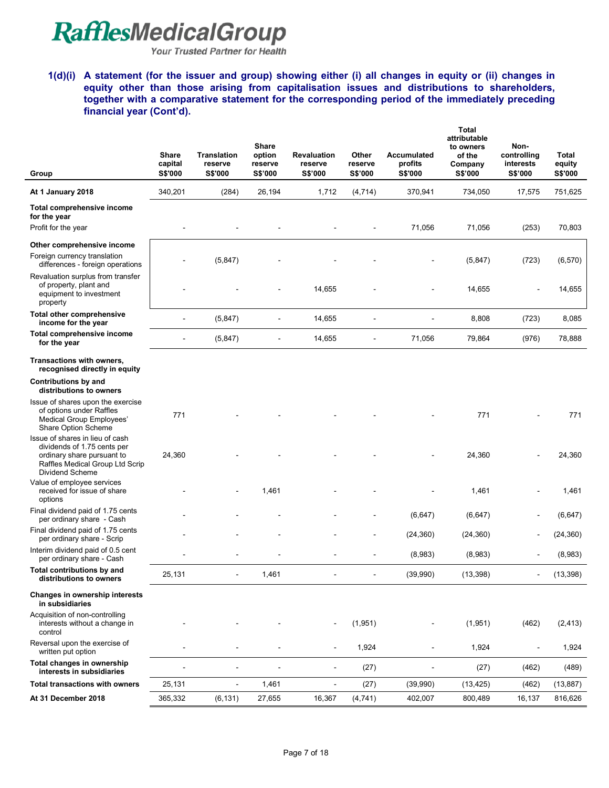Your Trusted Partner for Health

**1(d)(i) A statement (for the issuer and group) showing either (i) all changes in equity or (ii) changes in equity other than those arising from capitalisation issues and distributions to shareholders, together with a comparative statement for the corresponding period of the immediately preceding financial year (Cont'd).** 

| Group                                                                                                                                              | Share<br>capital<br>S\$'000 | <b>Translation</b><br>reserve<br>S\$'000 | <b>Share</b><br>option<br>reserve<br><b>S\$'000</b> | <b>Revaluation</b><br>reserve<br>S\$'000 | Other<br>reserve<br>S\$'000 | Accumulated<br>profits<br>S\$'000 | <b>Total</b><br>attributable<br>to owners<br>of the<br>Company<br>S\$'000 | Non-<br>controlling<br>interests<br>S\$'000 | Total<br>equity<br>S\$'000 |
|----------------------------------------------------------------------------------------------------------------------------------------------------|-----------------------------|------------------------------------------|-----------------------------------------------------|------------------------------------------|-----------------------------|-----------------------------------|---------------------------------------------------------------------------|---------------------------------------------|----------------------------|
| At 1 January 2018                                                                                                                                  | 340,201                     | (284)                                    | 26,194                                              | 1,712                                    | (4, 714)                    | 370,941                           | 734,050                                                                   | 17,575                                      | 751,625                    |
| Total comprehensive income<br>for the year<br>Profit for the year                                                                                  |                             |                                          |                                                     |                                          |                             | 71,056                            | 71,056                                                                    | (253)                                       | 70,803                     |
| Other comprehensive income                                                                                                                         |                             |                                          |                                                     |                                          |                             |                                   |                                                                           |                                             |                            |
| Foreign currency translation<br>differences - foreign operations                                                                                   |                             | (5, 847)                                 |                                                     |                                          |                             |                                   | (5,847)                                                                   | (723)                                       | (6, 570)                   |
| Revaluation surplus from transfer<br>of property, plant and<br>equipment to investment<br>property                                                 |                             |                                          |                                                     | 14,655                                   |                             |                                   | 14,655                                                                    |                                             | 14,655                     |
| Total other comprehensive<br>income for the year                                                                                                   | $\blacksquare$              | (5, 847)                                 |                                                     | 14,655                                   | L,                          |                                   | 8,808                                                                     | (723)                                       | 8,085                      |
| Total comprehensive income<br>for the year                                                                                                         |                             | (5, 847)                                 | ä,                                                  | 14,655                                   |                             | 71,056                            | 79,864                                                                    | (976)                                       | 78,888                     |
| Transactions with owners,<br>recognised directly in equity                                                                                         |                             |                                          |                                                     |                                          |                             |                                   |                                                                           |                                             |                            |
| Contributions by and<br>distributions to owners                                                                                                    |                             |                                          |                                                     |                                          |                             |                                   |                                                                           |                                             |                            |
| Issue of shares upon the exercise<br>of options under Raffles<br>Medical Group Employees'<br>Share Option Scheme                                   | 771                         |                                          |                                                     |                                          |                             |                                   | 771                                                                       |                                             | 771                        |
| Issue of shares in lieu of cash<br>dividends of 1.75 cents per<br>ordinary share pursuant to<br>Raffles Medical Group Ltd Scrip<br>Dividend Scheme | 24,360                      |                                          |                                                     |                                          |                             |                                   | 24,360                                                                    |                                             | 24,360                     |
| Value of employee services<br>received for issue of share<br>options                                                                               |                             |                                          | 1,461                                               |                                          |                             |                                   | 1,461                                                                     |                                             | 1,461                      |
| Final dividend paid of 1.75 cents<br>per ordinary share - Cash                                                                                     |                             |                                          |                                                     |                                          |                             | (6, 647)                          | (6,647)                                                                   | $\overline{\phantom{a}}$                    | (6, 647)                   |
| Final dividend paid of 1.75 cents<br>per ordinary share - Scrip                                                                                    |                             |                                          |                                                     |                                          |                             | (24, 360)                         | (24, 360)                                                                 | $\blacksquare$                              | (24, 360)                  |
| Interim dividend paid of 0.5 cent<br>per ordinary share - Cash                                                                                     |                             |                                          |                                                     |                                          |                             | (8,983)                           | (8,983)                                                                   |                                             | (8,983)                    |
| Total contributions by and<br>distributions to owners                                                                                              | 25,131                      |                                          | 1,461                                               |                                          |                             | (39,990)                          | (13, 398)                                                                 |                                             | (13, 398)                  |
| Changes in ownership interests<br>in subsidiaries                                                                                                  |                             |                                          |                                                     |                                          |                             |                                   |                                                                           |                                             |                            |
| Acquisition of non-controlling<br>interests without a change in<br>control                                                                         |                             |                                          |                                                     |                                          | (1,951)                     |                                   | (1,951)                                                                   | (462)                                       | (2, 413)                   |
| Reversal upon the exercise of<br>written put option                                                                                                |                             |                                          |                                                     | $\overline{a}$                           | 1,924                       |                                   | 1,924                                                                     |                                             | 1,924                      |
| Total changes in ownership<br>interests in subsidiaries                                                                                            |                             | $\blacksquare$                           | ÷                                                   | $\blacksquare$                           | (27)                        | ÷                                 | (27)                                                                      | (462)                                       | (489)                      |
| <b>Total transactions with owners</b>                                                                                                              | 25,131                      | $\overline{\phantom{a}}$                 | 1,461                                               | $\qquad \qquad \blacksquare$             | (27)                        | (39,990)                          | (13, 425)                                                                 | (462)                                       | (13, 887)                  |
| At 31 December 2018                                                                                                                                | 365,332                     | (6, 131)                                 | 27,655                                              | 16,367                                   | (4, 741)                    | 402,007                           | 800,489                                                                   | 16,137                                      | 816,626                    |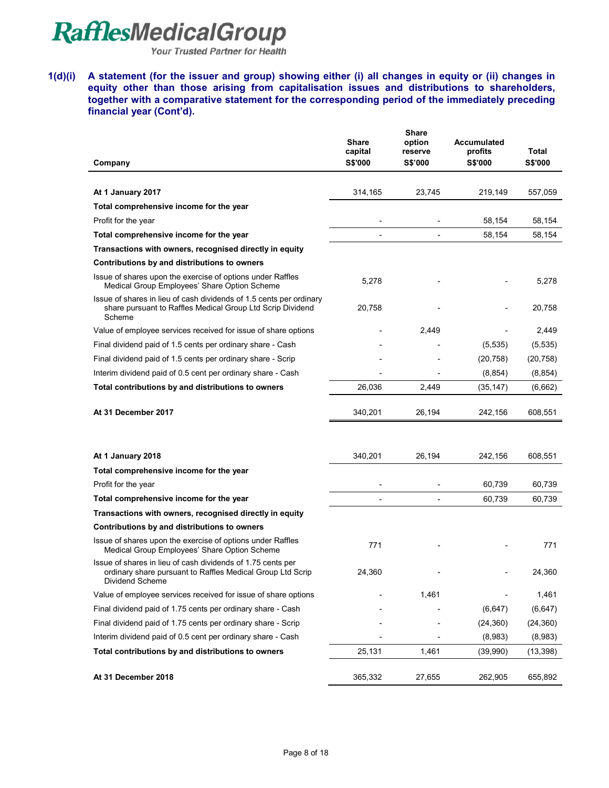Your Trusted Partner for Health

**1(d)(i) A statement (for the issuer and group) showing either (i) all changes in equity or (ii) changes in equity other than those arising from capitalisation issues and distributions to shareholders, together with a comparative statement for the corresponding period of the immediately preceding financial year (Cont'd).** 

|                                                                                                                                              | <b>Share</b><br>capital | <b>Share</b><br>option<br>reserve | Accumulated<br>profits | Total          |
|----------------------------------------------------------------------------------------------------------------------------------------------|-------------------------|-----------------------------------|------------------------|----------------|
| Company                                                                                                                                      | S\$'000                 | <b>S\$'000</b>                    | <b>S\$'000</b>         | <b>S\$'000</b> |
|                                                                                                                                              |                         |                                   |                        |                |
| At 1 January 2017                                                                                                                            | 314,165                 | 23,745                            | 219,149                | 557,059        |
| Total comprehensive income for the year                                                                                                      |                         |                                   |                        |                |
| Profit for the year                                                                                                                          |                         |                                   | 58,154                 | 58,154         |
| Total comprehensive income for the year                                                                                                      |                         | $\overline{a}$                    | 58,154                 | 58,154         |
| Transactions with owners, recognised directly in equity                                                                                      |                         |                                   |                        |                |
| Contributions by and distributions to owners                                                                                                 |                         |                                   |                        |                |
| Issue of shares upon the exercise of options under Raffles<br>Medical Group Employees' Share Option Scheme                                   | 5,278                   |                                   |                        | 5,278          |
| Issue of shares in lieu of cash dividends of 1.5 cents per ordinary<br>share pursuant to Raffles Medical Group Ltd Scrip Dividend<br>Scheme  | 20,758                  |                                   |                        | 20,758         |
| Value of employee services received for issue of share options                                                                               |                         | 2,449                             |                        | 2,449          |
| Final dividend paid of 1.5 cents per ordinary share - Cash                                                                                   |                         |                                   | (5, 535)               | (5, 535)       |
| Final dividend paid of 1.5 cents per ordinary share - Scrip                                                                                  |                         |                                   | (20, 758)              | (20, 758)      |
| Interim dividend paid of 0.5 cent per ordinary share - Cash                                                                                  |                         |                                   | (8, 854)               | (8, 854)       |
| Total contributions by and distributions to owners                                                                                           | 26,036                  | 2,449                             | (35, 147)              | (6,662)        |
| At 31 December 2017                                                                                                                          | 340,201                 | 26,194                            | 242,156                | 608,551        |
|                                                                                                                                              |                         |                                   |                        |                |
| At 1 January 2018                                                                                                                            | 340,201                 | 26,194                            | 242,156                | 608,551        |
| Total comprehensive income for the year                                                                                                      |                         |                                   |                        |                |
| Profit for the year                                                                                                                          |                         |                                   | 60,739                 | 60,739         |
| Total comprehensive income for the year                                                                                                      |                         |                                   | 60,739                 | 60,739         |
| Transactions with owners, recognised directly in equity                                                                                      |                         |                                   |                        |                |
| Contributions by and distributions to owners                                                                                                 |                         |                                   |                        |                |
| Issue of shares upon the exercise of options under Raffles<br>Medical Group Employees' Share Option Scheme                                   | 771                     |                                   |                        | 771            |
| Issue of shares in lieu of cash dividends of 1.75 cents per<br>ordinary share pursuant to Raffles Medical Group Ltd Scrip<br>Dividend Scheme | 24,360                  |                                   |                        | 24,360         |
| Value of employee services received for issue of share options                                                                               |                         | 1,461                             |                        | 1,461          |
| Final dividend paid of 1.75 cents per ordinary share - Cash                                                                                  |                         |                                   | (6, 647)               | (6, 647)       |
| Final dividend paid of 1.75 cents per ordinary share - Scrip                                                                                 |                         |                                   | (24, 360)              | (24, 360)      |
| Interim dividend paid of 0.5 cent per ordinary share - Cash                                                                                  |                         |                                   | (8,983)                | (8,983)        |
| Total contributions by and distributions to owners                                                                                           | 25,131                  | 1,461                             | (39,990)               | (13, 398)      |
| At 31 December 2018                                                                                                                          | 365,332                 | 27,655                            | 262,905                | 655,892        |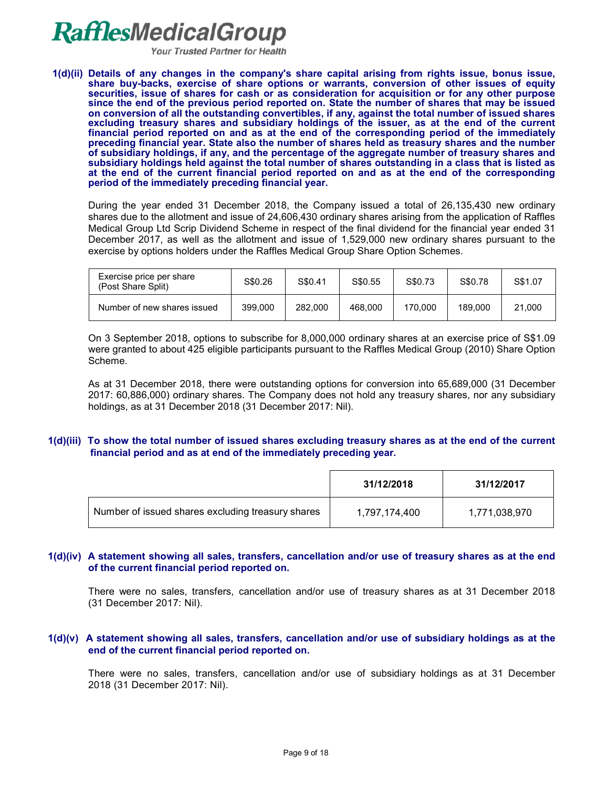**Your Trusted Partner for Health** 

**1(d)(ii) Details of any changes in the company's share capital arising from rights issue, bonus issue, share buy-backs, exercise of share options or warrants, conversion of other issues of equity securities, issue of shares for cash or as consideration for acquisition or for any other purpose since the end of the previous period reported on. State the number of shares that may be issued on conversion of all the outstanding convertibles, if any, against the total number of issued shares excluding treasury shares and subsidiary holdings of the issuer, as at the end of the current financial period reported on and as at the end of the corresponding period of the immediately preceding financial year. State also the number of shares held as treasury shares and the number of subsidiary holdings, if any, and the percentage of the aggregate number of treasury shares and subsidiary holdings held against the total number of shares outstanding in a class that is listed as at the end of the current financial period reported on and as at the end of the corresponding period of the immediately preceding financial year.**

During the year ended 31 December 2018, the Company issued a total of 26,135,430 new ordinary shares due to the allotment and issue of 24,606,430 ordinary shares arising from the application of Raffles Medical Group Ltd Scrip Dividend Scheme in respect of the final dividend for the financial year ended 31 December 2017, as well as the allotment and issue of 1,529,000 new ordinary shares pursuant to the exercise by options holders under the Raffles Medical Group Share Option Schemes.

| Exercise price per share<br>(Post Share Split) | S\$0.26 | S\$0.41 | S\$0.55 | S\$0.73 | S\$0.78 | S\$1.07 |
|------------------------------------------------|---------|---------|---------|---------|---------|---------|
| Number of new shares issued                    | 399,000 | 282,000 | 468,000 | 170.000 | 189.000 | 21.000  |

On 3 September 2018, options to subscribe for 8,000,000 ordinary shares at an exercise price of S\$1.09 were granted to about 425 eligible participants pursuant to the Raffles Medical Group (2010) Share Option Scheme.

As at 31 December 2018, there were outstanding options for conversion into 65,689,000 (31 December 2017: 60,886,000) ordinary shares. The Company does not hold any treasury shares, nor any subsidiary holdings, as at 31 December 2018 (31 December 2017: Nil).

### **1(d)(iii) To show the total number of issued shares excluding treasury shares as at the end of the current financial period and as at end of the immediately preceding year.**

|                                                   | 31/12/2018    | 31/12/2017    |
|---------------------------------------------------|---------------|---------------|
| Number of issued shares excluding treasury shares | 1,797,174,400 | 1,771,038,970 |

### **1(d)(iv) A statement showing all sales, transfers, cancellation and/or use of treasury shares as at the end of the current financial period reported on.**

There were no sales, transfers, cancellation and/or use of treasury shares as at 31 December 2018 (31 December 2017: Nil).

#### **1(d)(v) A statement showing all sales, transfers, cancellation and/or use of subsidiary holdings as at the end of the current financial period reported on.**

There were no sales, transfers, cancellation and/or use of subsidiary holdings as at 31 December 2018 (31 December 2017: Nil).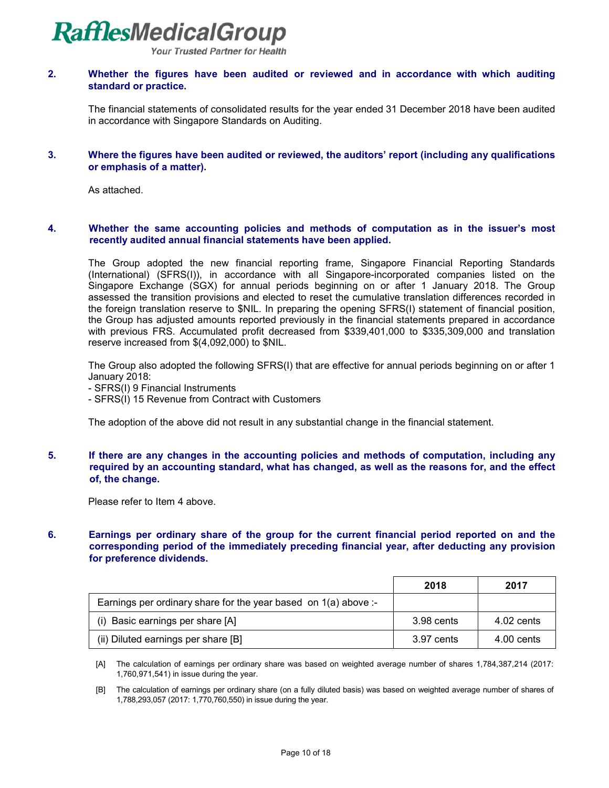**Your Trusted Partner for Health** 

#### **2. Whether the figures have been audited or reviewed and in accordance with which auditing standard or practice.**

The financial statements of consolidated results for the year ended 31 December 2018 have been audited in accordance with Singapore Standards on Auditing.

#### **3. Where the figures have been audited or reviewed, the auditors' report (including any qualifications or emphasis of a matter).**

As attached.

#### **4. Whether the same accounting policies and methods of computation as in the issuer's most recently audited annual financial statements have been applied.**

The Group adopted the new financial reporting frame, Singapore Financial Reporting Standards (International) (SFRS(I)), in accordance with all Singapore-incorporated companies listed on the Singapore Exchange (SGX) for annual periods beginning on or after 1 January 2018. The Group assessed the transition provisions and elected to reset the cumulative translation differences recorded in the foreign translation reserve to \$NIL. In preparing the opening SFRS(I) statement of financial position, the Group has adjusted amounts reported previously in the financial statements prepared in accordance with previous FRS. Accumulated profit decreased from \$339,401,000 to \$335,309,000 and translation reserve increased from \$(4,092,000) to \$NIL.

The Group also adopted the following SFRS(I) that are effective for annual periods beginning on or after 1 January 2018:

- SFRS(I) 9 Financial Instruments
- SFRS(I) 15 Revenue from Contract with Customers

The adoption of the above did not result in any substantial change in the financial statement.

### **5. If there are any changes in the accounting policies and methods of computation, including any required by an accounting standard, what has changed, as well as the reasons for, and the effect of, the change.**

Please refer to Item 4 above.

### **6. Earnings per ordinary share of the group for the current financial period reported on and the corresponding period of the immediately preceding financial year, after deducting any provision for preference dividends.**

|                                                                   | 2018       | 2017       |
|-------------------------------------------------------------------|------------|------------|
| Earnings per ordinary share for the year based on $1(a)$ above :- |            |            |
| (i) Basic earnings per share [A]                                  | 3.98 cents | 4.02 cents |
| (ii) Diluted earnings per share [B]                               | 3.97 cents | 4.00 cents |

 [A] The calculation of earnings per ordinary share was based on weighted average number of shares 1,784,387,214 (2017: 1,760,971,541) in issue during the year.

 [B] The calculation of earnings per ordinary share (on a fully diluted basis) was based on weighted average number of shares of 1,788,293,057 (2017: 1,770,760,550) in issue during the year.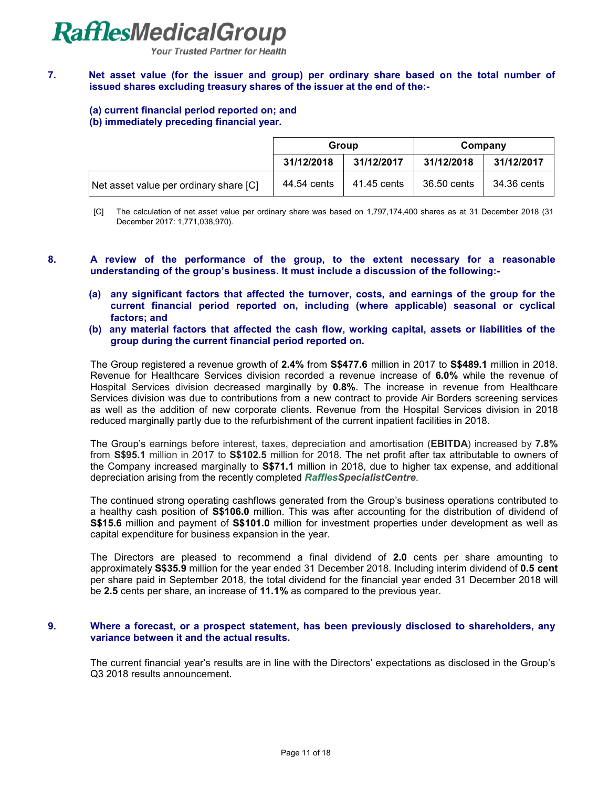**Your Trusted Partner for Health** 

### **7. Net asset value (for the issuer and group) per ordinary share based on the total number of issued shares excluding treasury shares of the issuer at the end of the:-**

# **(a) current financial period reported on; and**

### **(b) immediately preceding financial year.**

|                                        | Group                    |             | Company     |             |
|----------------------------------------|--------------------------|-------------|-------------|-------------|
|                                        | 31/12/2018<br>31/12/2017 |             | 31/12/2018  | 31/12/2017  |
| Net asset value per ordinary share [C] | 44.54 cents              | 41.45 cents | 36.50 cents | 34.36 cents |

[C] The calculation of net asset value per ordinary share was based on 1,797,174,400 shares as at 31 December 2018 (31 December 2017: 1,771,038,970).

- **8. A review of the performance of the group, to the extent necessary for a reasonable understanding of the group's business. It must include a discussion of the following:-**
	- **(a) any significant factors that affected the turnover, costs, and earnings of the group for the current financial period reported on, including (where applicable) seasonal or cyclical factors; and**
	- **(b) any material factors that affected the cash flow, working capital, assets or liabilities of the group during the current financial period reported on.**

The Group registered a revenue growth of **2.4%** from **S\$477.6** million in 2017 to **S\$489.1** million in 2018. Revenue for Healthcare Services division recorded a revenue increase of **6.0%** while the revenue of Hospital Services division decreased marginally by **0.8%**. The increase in revenue from Healthcare Services division was due to contributions from a new contract to provide Air Borders screening services as well as the addition of new corporate clients. Revenue from the Hospital Services division in 2018 reduced marginally partly due to the refurbishment of the current inpatient facilities in 2018.

The Group's earnings before interest, taxes, depreciation and amortisation (**EBITDA**) increased by **7.8%**  from **S\$95.1** million in 2017 to **S\$102.5** million for 2018. The net profit after tax attributable to owners of the Company increased marginally to **S\$71.1** million in 2018, due to higher tax expense, and additional depreciation arising from the recently completed *RafflesSpecialistCentre*.

The continued strong operating cashflows generated from the Group's business operations contributed to a healthy cash position of **S\$106.0** million. This was after accounting for the distribution of dividend of **S\$15.6** million and payment of **S\$101.0** million for investment properties under development as well as capital expenditure for business expansion in the year.

The Directors are pleased to recommend a final dividend of **2.0** cents per share amounting to approximately **S\$35.9** million for the year ended 31 December 2018. Including interim dividend of **0.5 cent** per share paid in September 2018, the total dividend for the financial year ended 31 December 2018 will be **2.5** cents per share, an increase of **11.1%** as compared to the previous year.

### **9. Where a forecast, or a prospect statement, has been previously disclosed to shareholders, any variance between it and the actual results.**

The current financial year's results are in line with the Directors' expectations as disclosed in the Group's Q3 2018 results announcement.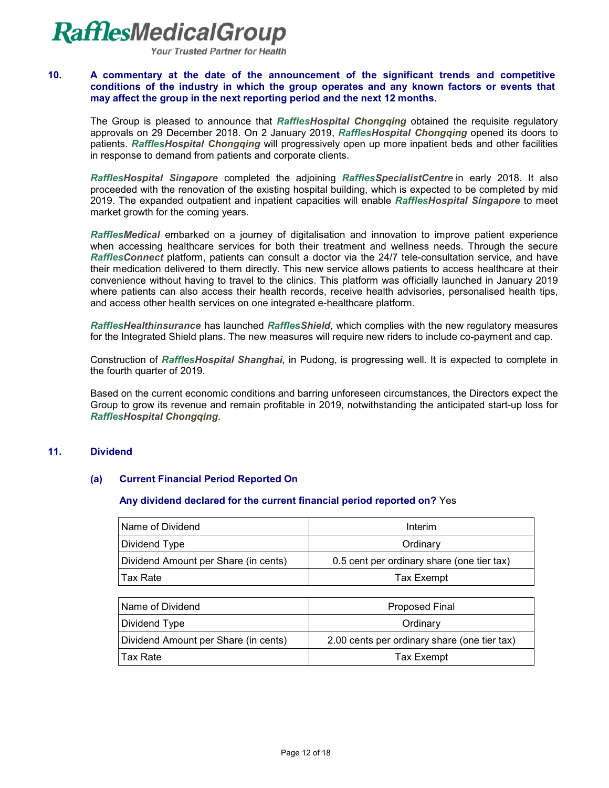**Your Trusted Partner for Health** 

#### **10. A commentary at the date of the announcement of the significant trends and competitive conditions of the industry in which the group operates and any known factors or events that may affect the group in the next reporting period and the next 12 months.**

The Group is pleased to announce that *RafflesHospital Chongqing* obtained the requisite regulatory approvals on 29 December 2018. On 2 January 2019, *RafflesHospital Chongqing* opened its doors to patients. *RafflesHospital Chongqing* will progressively open up more inpatient beds and other facilities in response to demand from patients and corporate clients.

*RafflesHospital Singapore* completed the adjoining *RafflesSpecialistCentre* in early 2018. It also proceeded with the renovation of the existing hospital building, which is expected to be completed by mid 2019. The expanded outpatient and inpatient capacities will enable *RafflesHospital Singapore* to meet market growth for the coming years.

*RafflesMedical* embarked on a journey of digitalisation and innovation to improve patient experience when accessing healthcare services for both their treatment and wellness needs. Through the secure *RafflesConnect* platform, patients can consult a doctor via the 24/7 tele-consultation service, and have their medication delivered to them directly. This new service allows patients to access healthcare at their convenience without having to travel to the clinics. This platform was officially launched in January 2019 where patients can also access their health records, receive health advisories, personalised health tips, and access other health services on one integrated e-healthcare platform.

*RafflesHealthinsurance* has launched *RafflesShield*, which complies with the new regulatory measures for the Integrated Shield plans. The new measures will require new riders to include co-payment and cap.

Construction of *RafflesHospital Shanghai*, in Pudong, is progressing well. It is expected to complete in the fourth quarter of 2019.

Based on the current economic conditions and barring unforeseen circumstances, the Directors expect the Group to grow its revenue and remain profitable in 2019, notwithstanding the anticipated start-up loss for *RafflesHospital Chongqing*.

#### **11. Dividend**

# **(a) Current Financial Period Reported On**

#### **Any dividend declared for the current financial period reported on?** Yes

| <b>Name of Dividend</b>              | Interim                                    |
|--------------------------------------|--------------------------------------------|
| Dividend Type                        | Ordinary                                   |
| Dividend Amount per Share (in cents) | 0.5 cent per ordinary share (one tier tax) |
| ⊺Tax Rate                            | <b>Tax Exempt</b>                          |

| Name of Dividend                     | <b>Proposed Final</b>                        |  |  |
|--------------------------------------|----------------------------------------------|--|--|
| Dividend Type                        | Ordinary                                     |  |  |
| Dividend Amount per Share (in cents) | 2.00 cents per ordinary share (one tier tax) |  |  |
| Tax Rate                             | <b>Tax Exempt</b>                            |  |  |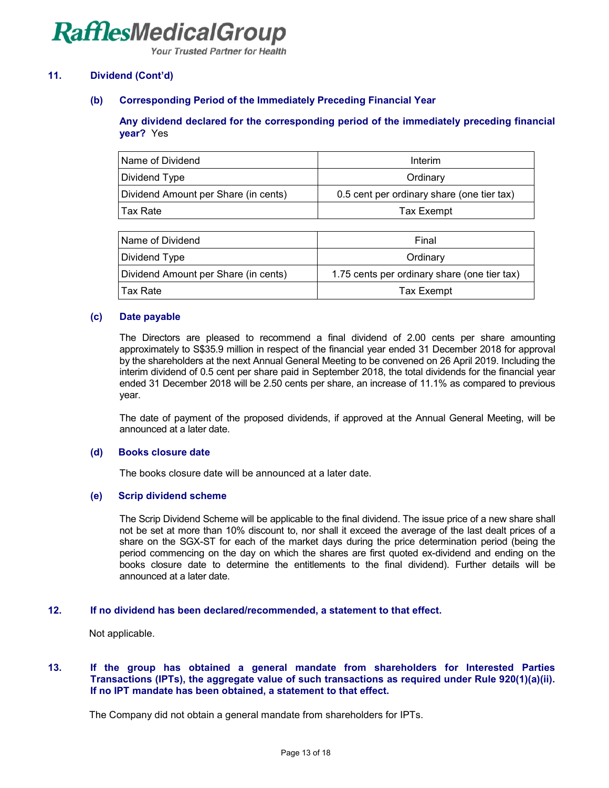**Your Trusted Partner for Health** 

### **11. Dividend (Cont'd)**

#### **(b) Corresponding Period of the Immediately Preceding Financial Year**

#### **Any dividend declared for the corresponding period of the immediately preceding financial year?** Yes

| Name of Dividend                     | Interim                                    |  |
|--------------------------------------|--------------------------------------------|--|
| Dividend Type                        | Ordinary                                   |  |
| Dividend Amount per Share (in cents) | 0.5 cent per ordinary share (one tier tax) |  |
| Tax Rate                             | Tax Exempt                                 |  |

| Name of Dividend                     | Final                                        |
|--------------------------------------|----------------------------------------------|
| Dividend Type                        | Ordinary                                     |
| Dividend Amount per Share (in cents) | 1.75 cents per ordinary share (one tier tax) |
| Tax Rate                             | Tax Exempt                                   |

#### **(c) Date payable**

The Directors are pleased to recommend a final dividend of 2.00 cents per share amounting approximately to S\$35.9 million in respect of the financial year ended 31 December 2018 for approval by the shareholders at the next Annual General Meeting to be convened on 26 April 2019. Including the interim dividend of 0.5 cent per share paid in September 2018, the total dividends for the financial year ended 31 December 2018 will be 2.50 cents per share, an increase of 11.1% as compared to previous year.

The date of payment of the proposed dividends, if approved at the Annual General Meeting, will be announced at a later date.

#### **(d) Books closure date**

The books closure date will be announced at a later date.

#### **(e) Scrip dividend scheme**

The Scrip Dividend Scheme will be applicable to the final dividend. The issue price of a new share shall not be set at more than 10% discount to, nor shall it exceed the average of the last dealt prices of a share on the SGX-ST for each of the market days during the price determination period (being the period commencing on the day on which the shares are first quoted ex-dividend and ending on the books closure date to determine the entitlements to the final dividend). Further details will be announced at a later date.

#### **12. If no dividend has been declared/recommended, a statement to that effect.**

Not applicable.

#### **13. If the group has obtained a general mandate from shareholders for Interested Parties Transactions (IPTs), the aggregate value of such transactions as required under Rule 920(1)(a)(ii). If no IPT mandate has been obtained, a statement to that effect.**

The Company did not obtain a general mandate from shareholders for IPTs.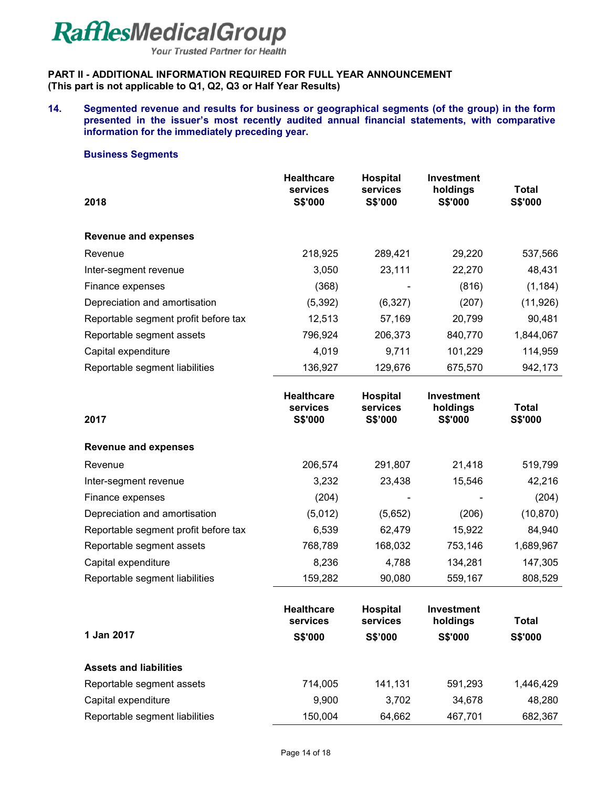**Your Trusted Partner for Health** 

### **PART II - ADDITIONAL INFORMATION REQUIRED FOR FULL YEAR ANNOUNCEMENT (This part is not applicable to Q1, Q2, Q3 or Half Year Results)**

**14. Segmented revenue and results for business or geographical segments (of the group) in the form presented in the issuer's most recently audited annual financial statements, with comparative information for the immediately preceding year.** 

#### **Business Segments**

| 2018                                 | <b>Healthcare</b><br>services<br><b>S\$'000</b> | Hospital<br>services<br>S\$'000 | Investment<br>holdings<br><b>S\$'000</b> | Total<br><b>S\$'000</b> |
|--------------------------------------|-------------------------------------------------|---------------------------------|------------------------------------------|-------------------------|
| <b>Revenue and expenses</b>          |                                                 |                                 |                                          |                         |
| Revenue                              | 218,925                                         | 289,421                         | 29,220                                   | 537,566                 |
| Inter-segment revenue                | 3,050                                           | 23,111                          | 22,270                                   | 48,431                  |
| Finance expenses                     | (368)                                           |                                 | (816)                                    | (1, 184)                |
| Depreciation and amortisation        | (5, 392)                                        | (6,327)                         | (207)                                    | (11, 926)               |
| Reportable segment profit before tax | 12,513                                          | 57,169                          | 20,799                                   | 90,481                  |
| Reportable segment assets            | 796,924                                         | 206,373                         | 840,770                                  | 1,844,067               |
| Capital expenditure                  | 4,019                                           | 9,711                           | 101,229                                  | 114,959                 |
| Reportable segment liabilities       | 136,927                                         | 129,676                         | 675,570                                  | 942,173                 |

| 2017                                 | <b>Healthcare</b><br>services<br>S\$'000 | <b>Hospital</b><br>services<br>S\$'000 | <b>Investment</b><br>holdings<br>S\$'000 | Total<br>S\$'000 |
|--------------------------------------|------------------------------------------|----------------------------------------|------------------------------------------|------------------|
| <b>Revenue and expenses</b>          |                                          |                                        |                                          |                  |
| Revenue                              | 206,574                                  | 291,807                                | 21,418                                   | 519,799          |
| Inter-segment revenue                | 3,232                                    | 23,438                                 | 15,546                                   | 42,216           |
| Finance expenses                     | (204)                                    |                                        |                                          | (204)            |
| Depreciation and amortisation        | (5,012)                                  | (5,652)                                | (206)                                    | (10, 870)        |
| Reportable segment profit before tax | 6,539                                    | 62,479                                 | 15,922                                   | 84,940           |
| Reportable segment assets            | 768,789                                  | 168,032                                | 753,146                                  | 1,689,967        |
| Capital expenditure                  | 8,236                                    | 4,788                                  | 134,281                                  | 147,305          |
| Reportable segment liabilities       | 159,282                                  | 90,080                                 | 559,167                                  | 808,529          |
|                                      | <b>Healthcare</b><br>services            | <b>Hospital</b><br>services            | <b>Investment</b><br>holdings            | Total            |
| 1 Jan 2017                           | <b>S\$'000</b>                           | S\$'000                                | S\$'000                                  | S\$'000          |
| <b>Assets and liabilities</b>        |                                          |                                        |                                          |                  |
| Reportable segment assets            | 714,005                                  | 141,131                                | 591,293                                  | 1,446,429        |
| Capital expenditure                  | 9,900                                    | 3,702                                  | 34,678                                   | 48,280           |

Reportable segment liabilities 150,004 64,662 467,701 682,367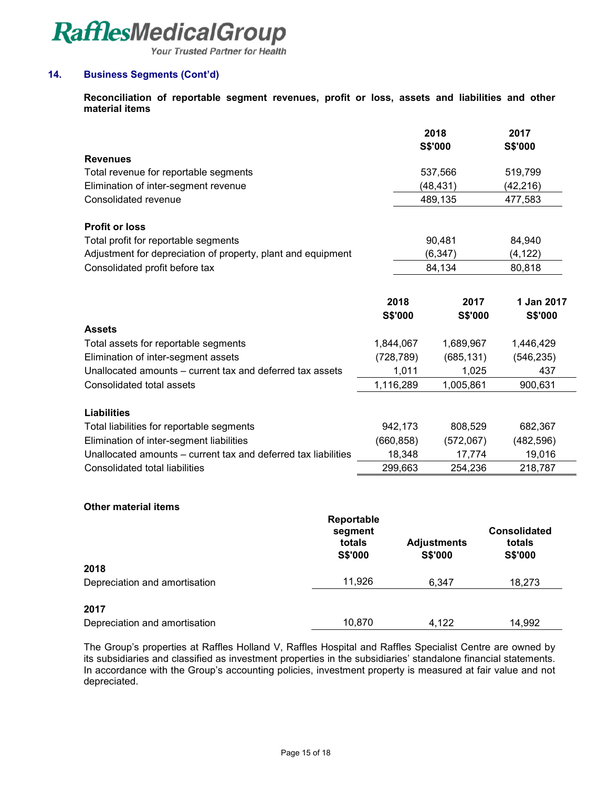Your Trusted Partner for Health

# **14. Business Segments (Cont'd)**

**Reconciliation of reportable segment revenues, profit or loss, assets and liabilities and other material items** 

|                                                                |                | 2018           | 2017           |
|----------------------------------------------------------------|----------------|----------------|----------------|
|                                                                |                | <b>S\$'000</b> | <b>S\$'000</b> |
| <b>Revenues</b>                                                |                |                |                |
| Total revenue for reportable segments                          |                | 537,566        | 519,799        |
| Elimination of inter-segment revenue                           |                | (48, 431)      | (42, 216)      |
| Consolidated revenue                                           |                | 489,135        | 477,583        |
| <b>Profit or loss</b>                                          |                |                |                |
| Total profit for reportable segments                           |                | 90,481         | 84,940         |
| Adjustment for depreciation of property, plant and equipment   |                | (6, 347)       | (4, 122)       |
| Consolidated profit before tax                                 |                | 84,134         | 80,818         |
|                                                                |                |                |                |
|                                                                | 2018           | 2017           | 1 Jan 2017     |
|                                                                | <b>S\$'000</b> | <b>S\$'000</b> | <b>S\$'000</b> |
| <b>Assets</b>                                                  |                |                |                |
| Total assets for reportable segments                           | 1,844,067      | 1,689,967      | 1,446,429      |
| Elimination of inter-segment assets                            | (728, 789)     | (685, 131)     | (546, 235)     |
| Unallocated amounts – current tax and deferred tax assets      | 1,011          | 1,025          | 437            |
| Consolidated total assets                                      | 1,116,289      | 1,005,861      | 900,631        |
|                                                                |                |                |                |
| <b>Liabilities</b>                                             |                |                |                |
| Total liabilities for reportable segments                      | 942,173        | 808,529        | 682,367        |
| Elimination of inter-segment liabilities                       | (660, 858)     | (572,067)      | (482, 596)     |
| Unallocated amounts - current tax and deferred tax liabilities | 18,348         | 17,774         | 19,016         |
| <b>Consolidated total liabilities</b>                          | 299,663        | 254,236        | 218,787        |
|                                                                |                |                |                |

#### **Other material items**

|                               | Reportable<br>segment<br>totals<br><b>S\$'000</b> | <b>Adjustments</b><br><b>S\$'000</b> | <b>Consolidated</b><br>totals<br><b>S\$'000</b> |
|-------------------------------|---------------------------------------------------|--------------------------------------|-------------------------------------------------|
| 2018                          |                                                   |                                      |                                                 |
| Depreciation and amortisation | 11,926                                            | 6.347                                | 18,273                                          |
| 2017                          |                                                   |                                      |                                                 |
| Depreciation and amortisation | 10,870                                            | 4.122                                | 14,992                                          |

The Group's properties at Raffles Holland V, Raffles Hospital and Raffles Specialist Centre are owned by its subsidiaries and classified as investment properties in the subsidiaries' standalone financial statements. In accordance with the Group's accounting policies, investment property is measured at fair value and not depreciated.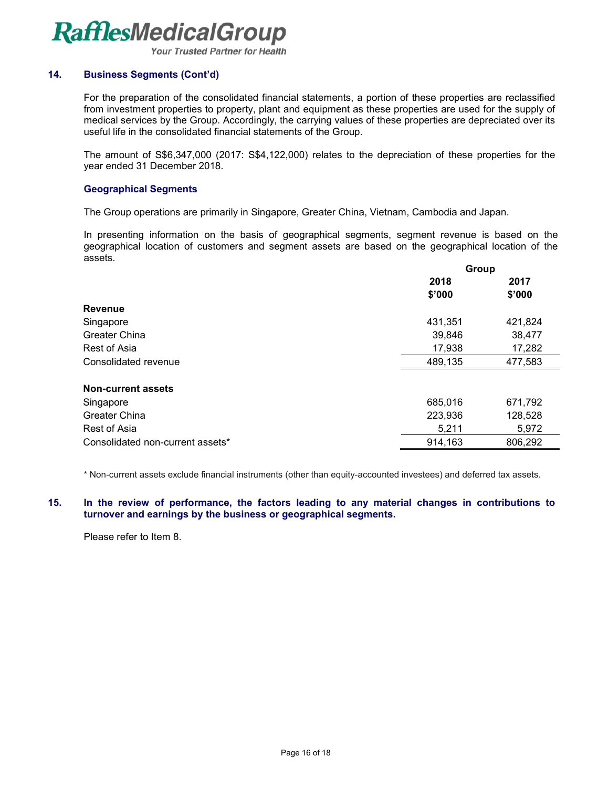**Your Trusted Partner for Health** 

### **14. Business Segments (Cont'd)**

For the preparation of the consolidated financial statements, a portion of these properties are reclassified from investment properties to property, plant and equipment as these properties are used for the supply of medical services by the Group. Accordingly, the carrying values of these properties are depreciated over its useful life in the consolidated financial statements of the Group.

The amount of S\$6,347,000 (2017: S\$4,122,000) relates to the depreciation of these properties for the year ended 31 December 2018.

### **Geographical Segments**

The Group operations are primarily in Singapore, Greater China, Vietnam, Cambodia and Japan.

In presenting information on the basis of geographical segments, segment revenue is based on the geographical location of customers and segment assets are based on the geographical location of the assets.

| 2018<br>2017<br>\$'000<br>\$'000<br><b>Revenue</b><br>Singapore<br>431,351<br>421,824<br>Greater China<br>39,846<br>38,477<br>Rest of Asia<br>17,938<br>17,282<br>489,135<br>477,583<br>Consolidated revenue<br><b>Non-current assets</b><br>685,016<br>671,792<br>Singapore<br>Greater China<br>223,936<br>128,528 | Group |  |  |
|---------------------------------------------------------------------------------------------------------------------------------------------------------------------------------------------------------------------------------------------------------------------------------------------------------------------|-------|--|--|
|                                                                                                                                                                                                                                                                                                                     |       |  |  |
|                                                                                                                                                                                                                                                                                                                     |       |  |  |
|                                                                                                                                                                                                                                                                                                                     |       |  |  |
|                                                                                                                                                                                                                                                                                                                     |       |  |  |
|                                                                                                                                                                                                                                                                                                                     |       |  |  |
|                                                                                                                                                                                                                                                                                                                     |       |  |  |
|                                                                                                                                                                                                                                                                                                                     |       |  |  |
|                                                                                                                                                                                                                                                                                                                     |       |  |  |
|                                                                                                                                                                                                                                                                                                                     |       |  |  |
|                                                                                                                                                                                                                                                                                                                     |       |  |  |
| Rest of Asia<br>5,211<br>5,972                                                                                                                                                                                                                                                                                      |       |  |  |
| 914,163<br>806,292<br>Consolidated non-current assets*                                                                                                                                                                                                                                                              |       |  |  |

\* Non-current assets exclude financial instruments (other than equity-accounted investees) and deferred tax assets.

#### **15. In the review of performance, the factors leading to any material changes in contributions to turnover and earnings by the business or geographical segments.**

Please refer to Item 8.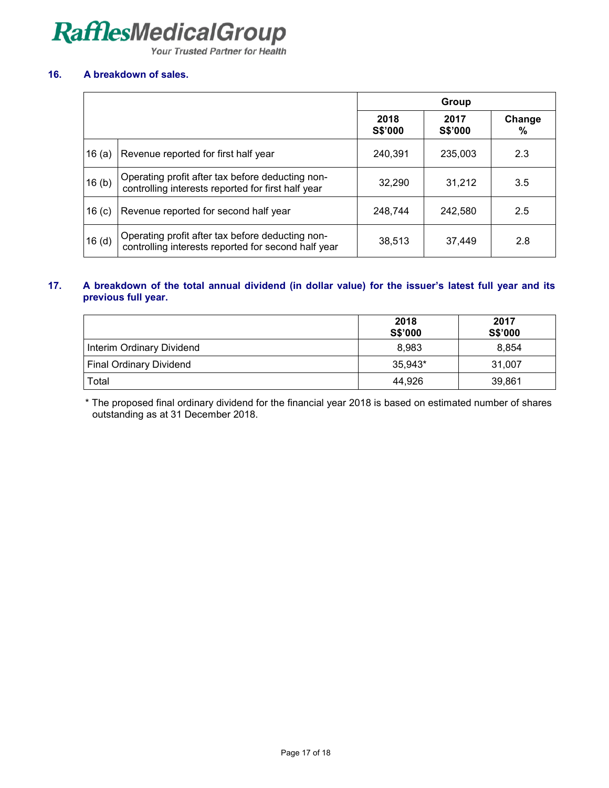Your Trusted Partner for Health

## **16. A breakdown of sales.**

|                   |                                                                                                         | Group           |                 |             |
|-------------------|---------------------------------------------------------------------------------------------------------|-----------------|-----------------|-------------|
|                   |                                                                                                         | 2018<br>S\$'000 | 2017<br>S\$'000 | Change<br>℅ |
| 16(a)             | Revenue reported for first half year                                                                    | 240.391         | 235,003         | 2.3         |
| 16(b)             | Operating profit after tax before deducting non-<br>controlling interests reported for first half year  | 32.290          | 31,212          | 3.5         |
| 16 $(c)$          | Revenue reported for second half year                                                                   | 248,744         | 242.580         | 2.5         |
| 16 <sub>(d)</sub> | Operating profit after tax before deducting non-<br>controlling interests reported for second half year | 38,513          | 37,449          | 2.8         |

## **17. A breakdown of the total annual dividend (in dollar value) for the issuer's latest full year and its previous full year.**

|                                | 2018<br>S\$'000 | 2017<br>S\$'000 |
|--------------------------------|-----------------|-----------------|
| Interim Ordinary Dividend      | 8,983           | 8.854           |
| <b>Final Ordinary Dividend</b> | 35.943*         | 31.007          |
| Total                          | 44.926          | 39,861          |

\* The proposed final ordinary dividend for the financial year 2018 is based on estimated number of shares outstanding as at 31 December 2018.